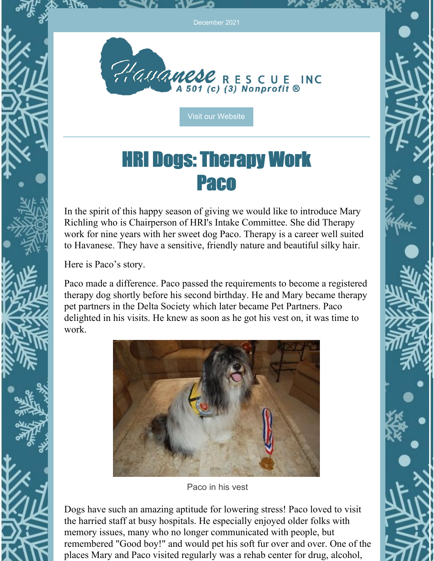

Visit our [Website](http://havaneserescue.com)

#### HRI Dogs: Therapy Work Paco

In the spirit of this happy season of giving we would like to introduce Mary Richling who is Chairperson of HRI's Intake Committee. She did Therapy work for nine years with her sweet dog Paco. Therapy is a career well suited to Havanese. They have a sensitive, friendly nature and beautiful silky hair.

Here is Paco's story.

Paco made a difference. Paco passed the requirements to become a registered therapy dog shortly before his second birthday. He and Mary became therapy pet partners in the Delta Society which later became Pet Partners. Paco delighted in his visits. He knew as soon as he got his vest on, it was time to work.



Paco in his vest

Dogs have such an amazing aptitude for lowering stress! Paco loved to visit the harried staff at busy hospitals. He especially enjoyed older folks with memory issues, many who no longer communicated with people, but remembered "Good boy!" and would pet his soft fur over and over. One of the places Mary and Paco visited regularly was a rehab center for drug, alcohol,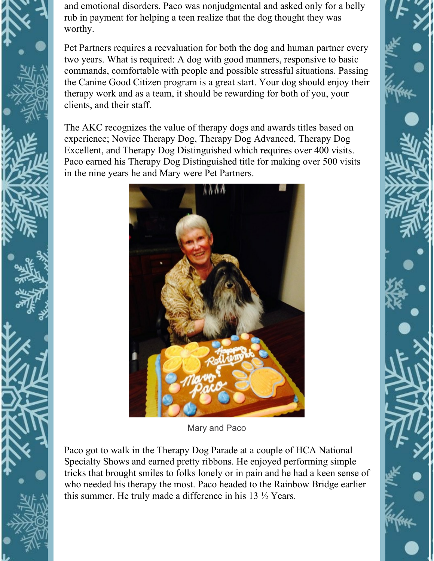and emotional disorders. Paco was nonjudgmental and asked only for a belly rub in payment for helping a teen realize that the dog thought they was worthy.

Pet Partners requires a reevaluation for both the dog and human partner every two years. What is required: A dog with good manners, responsive to basic commands, comfortable with people and possible stressful situations. Passing the Canine Good Citizen program is a great start. Your dog should enjoy their therapy work and as a team, it should be rewarding for both of you, your clients, and their staff.

The AKC recognizes the value of therapy dogs and awards titles based on experience; Novice Therapy Dog, Therapy Dog Advanced, Therapy Dog Excellent, and Therapy Dog Distinguished which requires over 400 visits. Paco earned his Therapy Dog Distinguished title for making over 500 visits in the nine years he and Mary were Pet Partners.



Mary and Paco

Paco got to walk in the Therapy Dog Parade at a couple of HCA National Specialty Shows and earned pretty ribbons. He enjoyed performing simple tricks that brought smiles to folks lonely or in pain and he had a keen sense of who needed his therapy the most. Paco headed to the Rainbow Bridge earlier this summer. He truly made a difference in his 13 ½ Years.

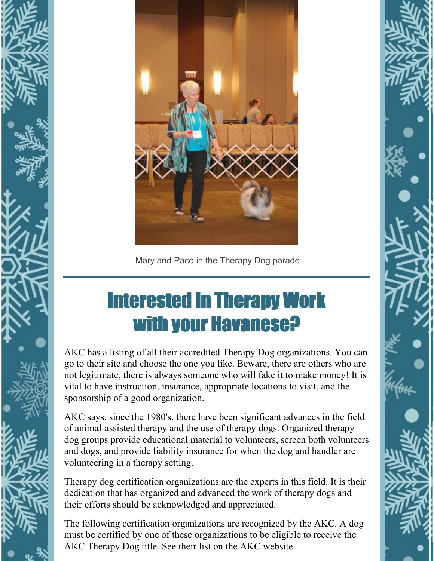



Mary and Paco in the Therapy Dog parade

## Interested In Therapy Work with your Havanese?

AKC has a listing of all their accredited Therapy Dog organizations. You can go to their site and choose the one you like. Beware, there are others who are not legitimate, there is always someone who will fake it to make money! It is vital to have instruction, insurance, appropriate locations to visit, and the sponsorship of a good organization.

AKC says, since the 1980's, there have been significant advances in the field of animal-assisted therapy and the use of therapy dogs. Organized therapy dog groups provide educational material to volunteers, screen both volunteers and dogs, and provide liability insurance for when the dog and handler are volunteering in a therapy setting.

Therapy dog certification organizations are the experts in this field. It is their dedication that has organized and advanced the work of therapy dogs and their efforts should be acknowledged and appreciated.

The following certification organizations are recognized by the AKC. A dog must be certified by one of these organizations to be eligible to receive the AKC Therapy Dog title. See their list on the AKC website.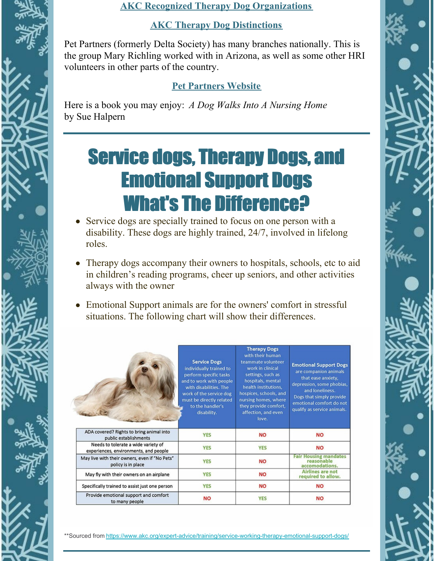#### **AKC Recognized Therapy Dog [Organizations](https://www.akc.org/sports/title-recognition-program/therapy-dog-program/therapy-dog-organizations/)**

#### **AKC Therapy Dog [Distinctions](https://www.akc.org/expert-advice/news/akc-therapy-dog-program-offers-new-titles-to-achieve/)**

Pet Partners (formerly Delta Society) has many branches nationally. This is the group Mary Richling worked with in Arizona, as well as some other HRI volunteers in other parts of the country.

#### **Pet [Partners](https://petpartners.org/) Website**

Here is a book you may enjoy: *A Dog Walks Into A Nursing Home* by Sue Halpern

### Service dogs, Therapy Dogs, and Emotional Support Dogs What's The Difference?

- Service dogs are specially trained to focus on one person with a disability. These dogs are highly trained, 24/7, involved in lifelong roles.
- Therapy dogs accompany their owners to hospitals, schools, etc to aid in children's reading programs, cheer up seniors, and other activities always with the owner
- Emotional Support animals are for the owners' comfort in stressful situations. The following chart will show their differences.

|                                                                              | <b>Service Dogs</b><br>individually trained to<br>perform specific tasks<br>and to work with people<br>with disabilities. The<br>work of the service dog<br>must be directly related<br>to the handler's<br>disability. | <b>Therapy Dogs</b><br>with their human<br>teammate volunteer<br>work in clinical<br>settings, such as<br>hospitals, mental<br>health institutions,<br>hospices, schools, and<br>nursing homes, where<br>they provide comfort,<br>affection, and even<br>love. | <b>Emotional Support Dogs</b><br>are companion animals<br>that ease anxiety,<br>depression, some phobias,<br>and loneliness.<br>Dogs that simply provide<br>emotional comfort do not<br>qualify as service animals. |
|------------------------------------------------------------------------------|-------------------------------------------------------------------------------------------------------------------------------------------------------------------------------------------------------------------------|----------------------------------------------------------------------------------------------------------------------------------------------------------------------------------------------------------------------------------------------------------------|---------------------------------------------------------------------------------------------------------------------------------------------------------------------------------------------------------------------|
| ADA covered? Rights to bring animal into<br>public establishments            | <b>YES</b>                                                                                                                                                                                                              | <b>NO</b>                                                                                                                                                                                                                                                      | <b>NO</b>                                                                                                                                                                                                           |
| Needs to tolerate a wide variety of<br>experiences, environments, and people | <b>YES</b>                                                                                                                                                                                                              | <b>YES</b>                                                                                                                                                                                                                                                     | <b>NO</b>                                                                                                                                                                                                           |
| May live with their owners, even if "No Pets"<br>policy is in place          | <b>YES</b>                                                                                                                                                                                                              | <b>NO</b>                                                                                                                                                                                                                                                      | <b>Fair Housing mandates</b><br>reasonable<br>accomodations.                                                                                                                                                        |
| May fly with their owners on an airplane                                     | <b>YES</b>                                                                                                                                                                                                              | <b>NO</b>                                                                                                                                                                                                                                                      | Airlines are not<br>required to allow.                                                                                                                                                                              |
| Specifically trained to assist just one person                               | <b>YES</b>                                                                                                                                                                                                              | <b>NO</b>                                                                                                                                                                                                                                                      | <b>NO</b>                                                                                                                                                                                                           |
| Provide emotional support and comfort<br>to many people                      | <b>NO</b>                                                                                                                                                                                                               | <b>YES</b>                                                                                                                                                                                                                                                     | <b>NO</b>                                                                                                                                                                                                           |

\*\*Sourced from <https://www.akc.org/expert-advice/training/service-working-therapy-emotional-support-dogs/>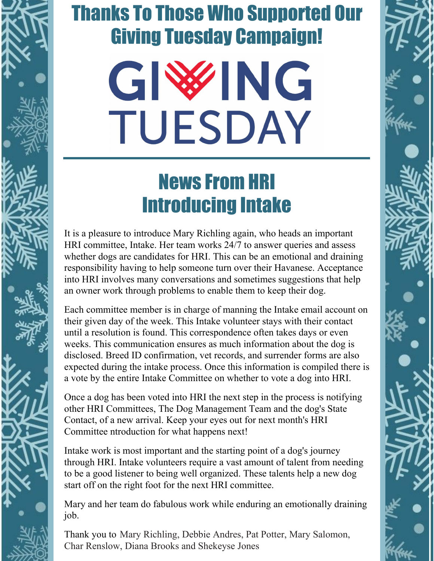## Thanks To Those Who Supported Our Giving Tuesday Campaign!

# GIWG TUESDAY

## News From HRI Introducing Intake

It is a pleasure to introduce Mary Richling again, who heads an important HRI committee, Intake. Her team works 24/7 to answer queries and assess whether dogs are candidates for HRI. This can be an emotional and draining responsibility having to help someone turn over their Havanese. Acceptance into HRI involves many conversations and sometimes suggestions that help an owner work through problems to enable them to keep their dog.

Each committee member is in charge of manning the Intake email account on their given day of the week. This Intake volunteer stays with their contact until a resolution is found. This correspondence often takes days or even weeks. This communication ensures as much information about the dog is disclosed. Breed ID confirmation, vet records, and surrender forms are also expected during the intake process. Once this information is compiled there is a vote by the entire Intake Committee on whether to vote a dog into HRI.

Once a dog has been voted into HRI the next step in the process is notifying other HRI Committees, The Dog Management Team and the dog's State Contact, of a new arrival. Keep your eyes out for next month's HRI Committee ntroduction for what happens next!

Intake work is most important and the starting point of a dog's journey through HRI. Intake volunteers require a vast amount of talent from needing to be a good listener to being well organized. These talents help a new dog start off on the right foot for the next HRI committee.

Mary and her team do fabulous work while enduring an emotionally draining job.

Thank you to Mary Richling, Debbie Andres, Pat Potter, Mary Salomon, Char Renslow, Diana Brooks and Shekeyse Jones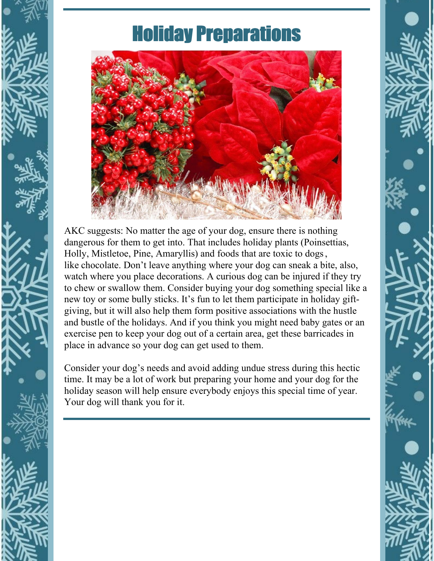

## Holiday Preparations



AKC suggests: No matter the age of your dog, ensure there is nothing dangerous for them to get into. That includes holiday plants (Poinsettias, Holly, Mistletoe, Pine, Amaryllis) and [foods](https://www.akc.org/expert-advice/nutrition/human-foods-dogs-can-and-cant-eat/) that are toxic to dogs, like [chocolate](https://www.akc.org/expert-advice/health/what-to-do-if-your-dog-ate-chocolate/). Don't leave anything where your dog can sneak a bite, also, watch where you place decorations. A curious dog can be injured if they try to chew or swallow them. Consider buying your dog something special like a new toy or some bully sticks. It's fun to let them participate in holiday giftgiving, but it will also help them form positive associations with the hustle and bustle of the holidays. And if you think you might need baby gates or an exercise pen to keep your dog out of a certain area, get these barricades in place in advance so your dog can get used to them.

Consider your dog's needs and avoid adding undue stress during this hectic time. It may be a lot of work but preparing your home and your dog for the holiday season will help ensure everybody enjoys this special time of year. Your dog will thank you for it.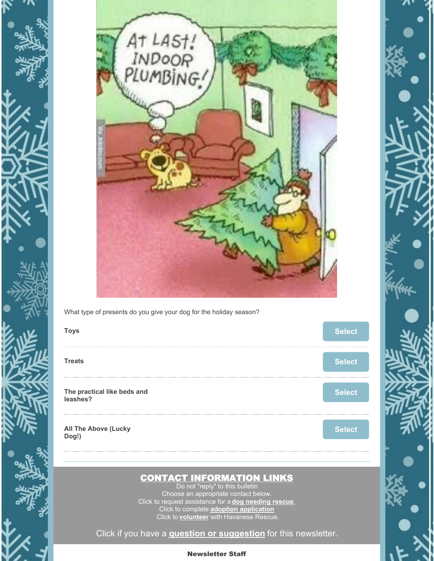



What type of presents do you give your dog for the holiday season?



#### CONTACT INFORMATION LINKS

Do not "reply" to this bulletin Choose an appropriate contact below. Click to request assistance for a **dog [needing](https://havaneserescue.com/rescue-dogs/help-for-a-havanese-in-need/surrender-form) rescue**[.](http://www.havaneserescue.com/index.php/assistance) Click to complete **adoption [application](https://havaneserescue.com/rescue-dogs/adoption-application)** Click to **[volunteer](https://havaneserescue.com/faqs/volunteering)** with Havanese Rescue.

Click if you have a **question or [suggestion](mailto:contactus@havaneserescue.com)** for this newsletter.

#### Newsletter Staff